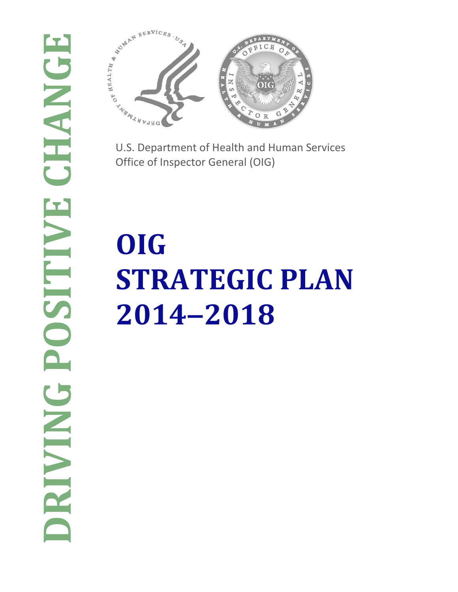

U.S. Department of Health and Human Services Office of Inspector General (OIG)

# **OIG STRATEGIC PLAN 2014‒2018**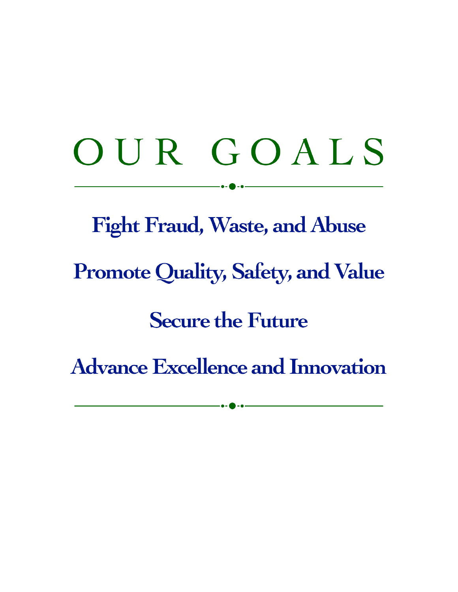# OUR GOALS

**Fight Fraud, Waste, and Abuse Promote Quality, Safety, and Value Secure the Future Advance Excellence and Innovation**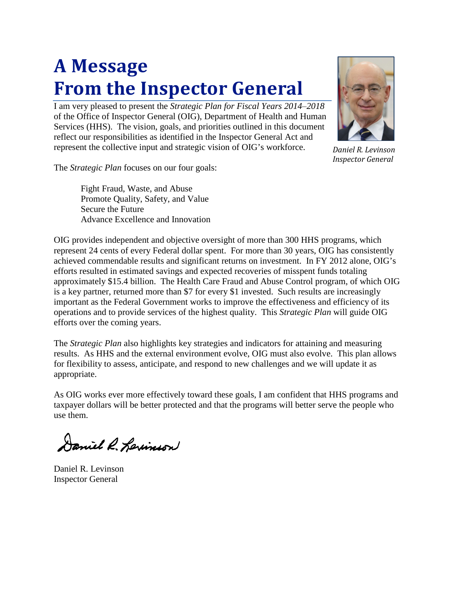# **A Message From the Inspector General**

I am very pleased to present the *Strategic Plan for Fiscal Years 2014‒2018* of the Office of Inspector General (OIG), Department of Health and Human Services (HHS). The vision, goals, and priorities outlined in this document reflect our responsibilities as identified in the Inspector General Act and represent the collective input and strategic vision of OIG's workforce.



*Daniel R. Levinson Inspector General*

The *Strategic Plan* focuses on our four goals:

Fight Fraud, Waste, and Abuse Promote Quality, Safety, and Value Secure the Future Advance Excellence and Innovation

OIG provides independent and objective oversight of more than 300 HHS programs, which represent 24 cents of every Federal dollar spent. For more than 30 years, OIG has consistently achieved commendable results and significant returns on investment. In FY 2012 alone, OIG's efforts resulted in estimated savings and expected recoveries of misspent funds totaling approximately \$15.4 billion. The Health Care Fraud and Abuse Control program, of which OIG is a key partner, returned more than \$7 for every \$1 invested. Such results are increasingly important as the Federal Government works to improve the effectiveness and efficiency of its operations and to provide services of the highest quality. This *Strategic Plan* will guide OIG efforts over the coming years.

The *Strategic Plan* also highlights key strategies and indicators for attaining and measuring results. As HHS and the external environment evolve, OIG must also evolve. This plan allows for flexibility to assess, anticipate, and respond to new challenges and we will update it as appropriate.

As OIG works ever more effectively toward these goals, I am confident that HHS programs and taxpayer dollars will be better protected and that the programs will better serve the people who use them.

Daniel R. Lexinson

Daniel R. Levinson Inspector General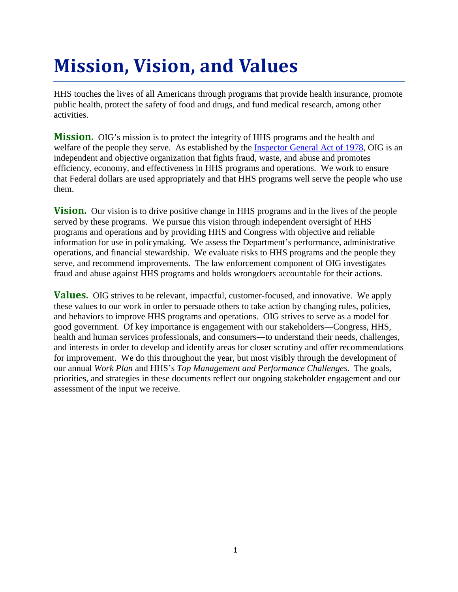# **Mission, Vision, and Values**

HHS touches the lives of all Americans through programs that provide health insurance, promote public health, protect the safety of food and drugs, and fund medical research, among other activities.

**Mission.** OIG's mission is to protect the integrity of HHS programs and the health and welfare of the people they serve. As established by the [Inspector General Act of 1978,](http://www.ignet.gov/pande/leg/igactasof1010.pdf) OIG is an independent and objective organization that fights fraud, waste, and abuse and promotes efficiency, economy, and effectiveness in HHS programs and operations. We work to ensure that Federal dollars are used appropriately and that HHS programs well serve the people who use them.

**Vision.** Our vision is to drive positive change in HHS programs and in the lives of the people served by these programs. We pursue this vision through independent oversight of HHS programs and operations and by providing HHS and Congress with objective and reliable information for use in policymaking. We assess the Department's performance, administrative operations, and financial stewardship. We evaluate risks to HHS programs and the people they serve, and recommend improvements. The law enforcement component of OIG investigates fraud and abuse against HHS programs and holds wrongdoers accountable for their actions.

**Values.** OIG strives to be relevant, impactful, customer-focused, and innovative. We apply these values to our work in order to persuade others to take action by changing rules, policies, and behaviors to improve HHS programs and operations. OIG strives to serve as a model for good government. Of key importance is engagement with our stakeholders―Congress, HHS, health and human services professionals, and consumers―to understand their needs, challenges, and interests in order to develop and identify areas for closer scrutiny and offer recommendations for improvement. We do this throughout the year, but most visibly through the development of our annual *Work Plan* and HHS's *Top Management and Performance Challenges*. The goals, priorities, and strategies in these documents reflect our ongoing stakeholder engagement and our assessment of the input we receive.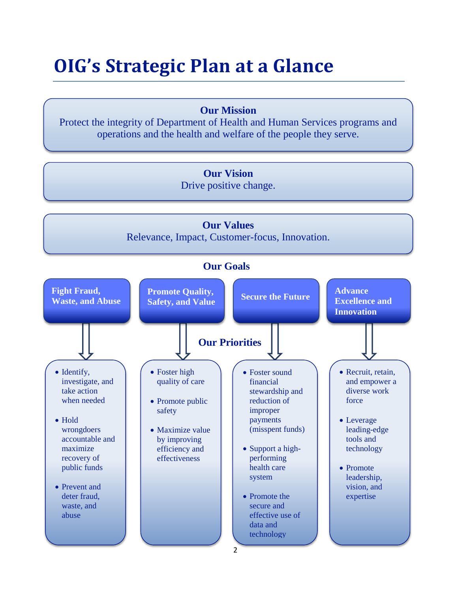# **OIG's Strategic Plan at a Glance**

### **Our Mission**

Protect the integrity of Department of Health and Human Services programs and operations and the health and welfare of the people they serve.

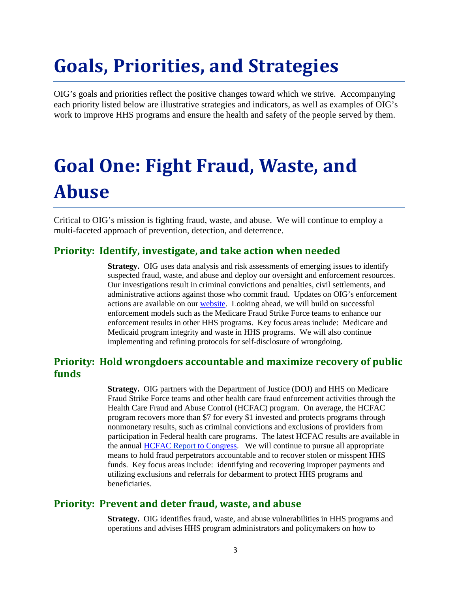# **Goals, Priorities, and Strategies**

OIG's goals and priorities reflect the positive changes toward which we strive. Accompanying each priority listed below are illustrative strategies and indicators, as well as examples of OIG's work to improve HHS programs and ensure the health and safety of the people served by them.

# **Goal One: Fight Fraud, Waste, and Abuse**

Critical to OIG's mission is fighting fraud, waste, and abuse. We will continue to employ a multi-faceted approach of prevention, detection, and deterrence.

#### **Priority: Identify, investigate, and take action when needed**

**Strategy.** OIG uses data analysis and risk assessments of emerging issues to identify suspected fraud, waste, and abuse and deploy our oversight and enforcement resources. Our investigations result in criminal convictions and penalties, civil settlements, and administrative actions against those who commit fraud. Updates on OIG's enforcement actions are available on ou[r website.](http://oig.hhs.gov/fraud/enforcement/criminal/index.asp) Looking ahead, we will build on successful enforcement models such as the Medicare Fraud Strike Force teams to enhance our enforcement results in other HHS programs. Key focus areas include: Medicare and Medicaid program integrity and waste in HHS programs. We will also continue implementing and refining protocols for self-disclosure of wrongdoing.

#### **Priority: Hold wrongdoers accountable and maximize recovery of public funds**

**Strategy.** OIG partners with the Department of Justice (DOJ) and HHS on Medicare Fraud Strike Force teams and other health care fraud enforcement activities through the Health Care Fraud and Abuse Control (HCFAC) program. On average, the HCFAC program recovers more than \$7 for every \$1 invested and protects programs through nonmonetary results, such as criminal convictions and exclusions of providers from participation in Federal health care programs. The latest HCFAC results are available in the annual [HCFAC Report](https://oig.hhs.gov/reports-and-publications/hcfac/index.asp) to Congress. We will continue to pursue all appropriate means to hold fraud perpetrators accountable and to recover stolen or misspent HHS funds. Key focus areas include: identifying and recovering improper payments and utilizing exclusions and referrals for debarment to protect HHS programs and beneficiaries.

#### **Priority: Prevent and deter fraud, waste, and abuse**

**Strategy.** OIG identifies fraud, waste, and abuse vulnerabilities in HHS programs and operations and advises HHS program administrators and policymakers on how to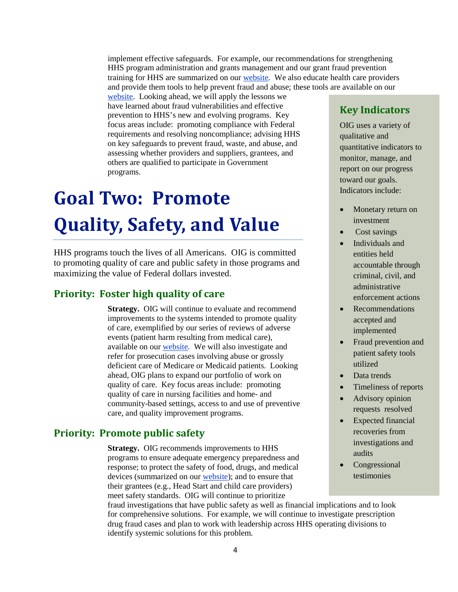implement effective safeguards. For example, our recommendations for strengthening HHS program administration and grants management and our grant fraud prevention training for HHS are summarized on our [website.](http://oig.hhs.gov/reports-and-publications/top-challenges/2012/issue07.asp) We also educate health care providers and provide them tools to help prevent fraud and abuse; these tools are available on our

[website.](https://oig.hhs.gov/compliance/101/index.asp) Looking ahead, we will apply the lessons we have learned about fraud vulnerabilities and effective prevention to HHS's new and evolving programs. Key focus areas include: promoting compliance with Federal requirements and resolving noncompliance; advising HHS on key safeguards to prevent fraud, waste, and abuse, and assessing whether providers and suppliers, grantees, and others are qualified to participate in Government programs.

# **Goal Two: Promote Quality, Safety, and Value**

HHS programs touch the lives of all Americans. OIG is committed to promoting quality of care and public safety in those programs and maximizing the value of Federal dollars invested.

### **Priority: Foster high quality of care**

**Strategy.** OIG will continue to evaluate and recommend improvements to the systems intended to promote quality of care, exemplified by our series of reviews of adverse events (patient harm resulting from medical care), available on ou[r website.](http://oig.hhs.gov/reports-and-publications/oei/a.asp#adverse_care) We will also investigate and refer for prosecution cases involving abuse or grossly deficient care of Medicare or Medicaid patients. Looking ahead, OIG plans to expand our portfolio of work on quality of care. Key focus areas include: promoting quality of care in nursing facilities and home- and community-based settings, access to and use of preventive care, and quality improvement programs.

#### **Priority: Promote public safety**

**Strategy.** OIG recommends improvements to HHS programs to ensure adequate emergency preparedness and response; to protect the safety of food, drugs, and medical devices (summarized on our [website\)](https://oig.hhs.gov/reports-and-publications/top-challenges/2012/issue08.asp); and to ensure that their grantees (e.g., Head Start and child care providers) meet safety standards. OIG will continue to prioritize

fraud investigations that have public safety as well as financial implications and to look for comprehensive solutions. For example, we will continue to investigate prescription drug fraud cases and plan to work with leadership across HHS operating divisions to identify systemic solutions for this problem.

### **Key Indicators**

OIG uses a variety of qualitative and quantitative indicators to monitor, manage, and report on our progress toward our goals. Indicators include:

- Monetary return on investment
- Cost savings
- Individuals and entities held accountable through criminal, civil, and administrative enforcement actions
- **Recommendations** accepted and implemented
- Fraud prevention and patient safety tools utilized
- Data trends
- Timeliness of reports
- Advisory opinion requests resolved
- Expected financial recoveries from investigations and audits
- Congressional testimonies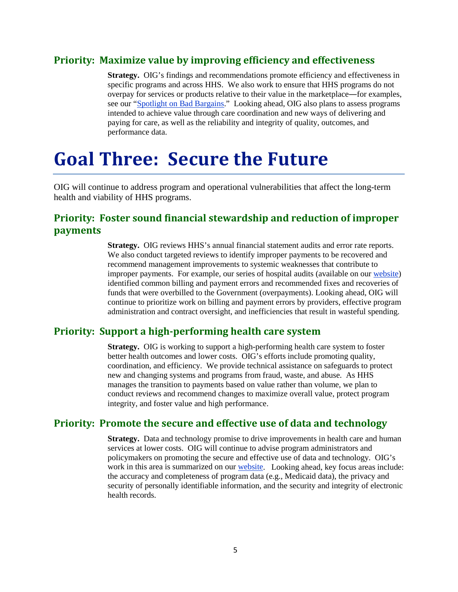#### **Priority: Maximize value by improving efficiency and effectiveness**

**Strategy.** OIG's findings and recommendations promote efficiency and effectiveness in specific programs and across HHS. We also work to ensure that HHS programs do not overpay for services or products relative to their value in the marketplace―for examples, see our ["Spotlight on Bad Bargains.](https://oig.hhs.gov/newsroom/spotlight/2013/bargain.asp)" Looking ahead, OIG also plans to assess programs intended to achieve value through care coordination and new ways of delivering and paying for care, as well as the reliability and integrity of quality, outcomes, and performance data.

## **Goal Three: Secure the Future**

OIG will continue to address program and operational vulnerabilities that affect the long-term health and viability of HHS programs.

#### **Priority: Foster sound financial stewardship and reduction of improper payments**

**Strategy.** OIG reviews HHS's annual financial statement audits and error rate reports. We also conduct targeted reviews to identify improper payments to be recovered and recommend management improvements to systemic weaknesses that contribute to improper payments. For example, our series of hospital audits (available on our [website\)](https://oig.hhs.gov/newsroom/podcasts/hospital-compliance/) identified common billing and payment errors and recommended fixes and recoveries of funds that were overbilled to the Government (overpayments). Looking ahead, OIG will continue to prioritize work on billing and payment errors by providers, effective program administration and contract oversight, and inefficiencies that result in wasteful spending.

#### **Priority: Support a high-performing health care system**

**Strategy.** OIG is working to support a high-performing health care system to foster better health outcomes and lower costs. OIG's efforts include promoting quality, coordination, and efficiency. We provide technical assistance on safeguards to protect new and changing systems and programs from fraud, waste, and abuse. As HHS manages the transition to payments based on value rather than volume, we plan to conduct reviews and recommend changes to maximize overall value, protect program integrity, and foster value and high performance.

#### **Priority: Promote the secure and effective use of data and technology**

**Strategy.** Data and technology promise to drive improvements in health care and human services at lower costs. OIG will continue to advise program administrators and policymakers on promoting the secure and effective use of data and technology. OIG's work in this area is summarized on our [website.](https://oig.hhs.gov/reports-and-publications/top-challenges/2012/issue09.asp) Looking ahead, key focus areas include: the accuracy and completeness of program data (e.g., Medicaid data), the privacy and security of personally identifiable information, and the security and integrity of electronic health records.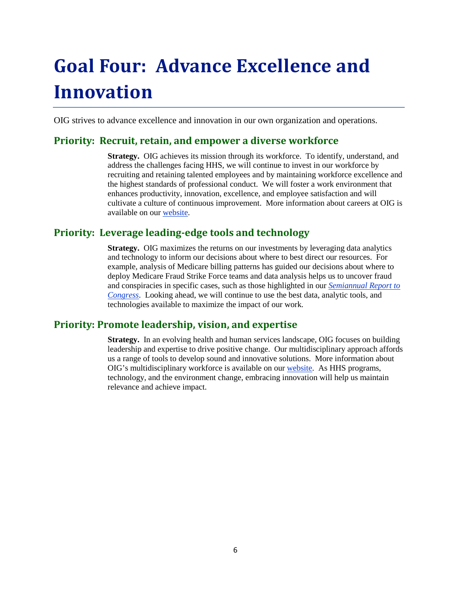# **Goal Four: Advance Excellence and Innovation**

OIG strives to advance excellence and innovation in our own organization and operations.

#### **Priority: Recruit, retain, and empower a diverse workforce**

**Strategy.** OIG achieves its mission through its workforce. To identify, understand, and address the challenges facing HHS, we will continue to invest in our workforce by recruiting and retaining talented employees and by maintaining workforce excellence and the highest standards of professional conduct. We will foster a work environment that enhances productivity, innovation, excellence, and employee satisfaction and will cultivate a culture of continuous improvement. More information about careers at OIG is available on ou[r website.](https://oig.hhs.gov/about-oig/careers/index.asp)

#### **Priority: Leverage leading-edge tools and technology**

**Strategy.** OIG maximizes the returns on our investments by leveraging data analytics and technology to inform our decisions about where to best direct our resources. For example, analysis of Medicare billing patterns has guided our decisions about where to deploy Medicare Fraud Strike Force teams and data analysis helps us to uncover fraud and conspiracies in specific cases, such as those highlighted in our *[Semiannual Report to](https://oig.hhs.gov/reports-and-publications/semiannual/index.asp)  [Congress](https://oig.hhs.gov/reports-and-publications/semiannual/index.asp)*. Looking ahead, we will continue to use the best data, analytic tools, and technologies available to maximize the impact of our work.

#### **Priority: Promote leadership, vision, and expertise**

**Strategy.** In an evolving health and human services landscape, OIG focuses on building leadership and expertise to drive positive change. Our multidisciplinary approach affords us a range of tools to develop sound and innovative solutions. More information about OIG's multidisciplinary workforce is available on our [website.](https://oig.hhs.gov/about-oig/about-us/index.asp) As HHS programs, technology, and the environment change, embracing innovation will help us maintain relevance and achieve impact.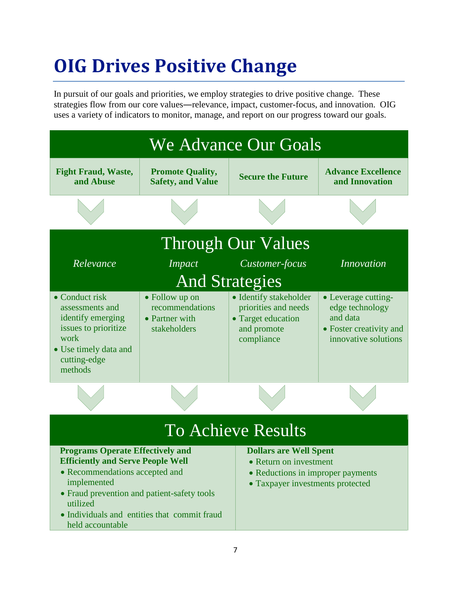# **OIG Drives Positive Change**

In pursuit of our goals and priorities, we employ strategies to drive positive change. These strategies flow from our core values―relevance, impact, customer-focus, and innovation. OIG uses a variety of indicators to monitor, manage, and report on our progress toward our goals.



• Taxpayer investments protected

• Fraud prevention and patient-safety tools

• Individuals and entities that commit fraud

utilized

held accountable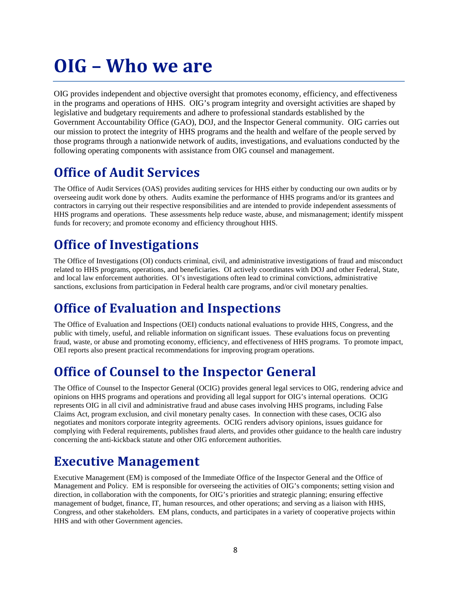## **OIG – Who we are**

OIG provides independent and objective oversight that promotes economy, efficiency, and effectiveness in the programs and operations of HHS. OIG's program integrity and oversight activities are shaped by legislative and budgetary requirements and adhere to professional standards established by the Government Accountability Office (GAO), DOJ, and the Inspector General community. OIG carries out our mission to protect the integrity of HHS programs and the health and welfare of the people served by those programs through a nationwide network of audits, investigations, and evaluations conducted by the following operating components with assistance from OIG counsel and management.

### **Office of Audit Services**

The Office of Audit Services (OAS) provides auditing services for HHS either by conducting our own audits or by overseeing audit work done by others. Audits examine the performance of HHS programs and/or its grantees and contractors in carrying out their respective responsibilities and are intended to provide independent assessments of HHS programs and operations. These assessments help reduce waste, abuse, and mismanagement; identify misspent funds for recovery; and promote economy and efficiency throughout HHS.

### **Office of Investigations**

The Office of Investigations (OI) conducts criminal, civil, and administrative investigations of fraud and misconduct related to HHS programs, operations, and beneficiaries. OI actively coordinates with DOJ and other Federal, State, and local law enforcement authorities. OI's investigations often lead to criminal convictions, administrative sanctions, exclusions from participation in Federal health care programs, and/or civil monetary penalties.

### **Office of Evaluation and Inspections**

The Office of Evaluation and Inspections (OEI) conducts national evaluations to provide HHS, Congress, and the public with timely, useful, and reliable information on significant issues. These evaluations focus on preventing fraud, waste, or abuse and promoting economy, efficiency, and effectiveness of HHS programs. To promote impact, OEI reports also present practical recommendations for improving program operations.

### **Office of Counsel to the Inspector General**

The Office of Counsel to the Inspector General (OCIG) provides general legal services to OIG, rendering advice and opinions on HHS programs and operations and providing all legal support for OIG's internal operations. OCIG represents OIG in all civil and administrative fraud and abuse cases involving HHS programs, including False Claims Act, program exclusion, and civil monetary penalty cases. In connection with these cases, OCIG also negotiates and monitors corporate integrity agreements. OCIG renders advisory opinions, issues guidance for complying with Federal requirements, publishes fraud alerts, and provides other guidance to the health care industry concerning the anti-kickback statute and other OIG enforcement authorities.

### **Executive Management**

Executive Management (EM) is composed of the Immediate Office of the Inspector General and the Office of Management and Policy. EM is responsible for overseeing the activities of OIG's components; setting vision and direction, in collaboration with the components, for OIG's priorities and strategic planning; ensuring effective management of budget, finance, IT, human resources, and other operations; and serving as a liaison with HHS, Congress, and other stakeholders. EM plans, conducts, and participates in a variety of cooperative projects within HHS and with other Government agencies.